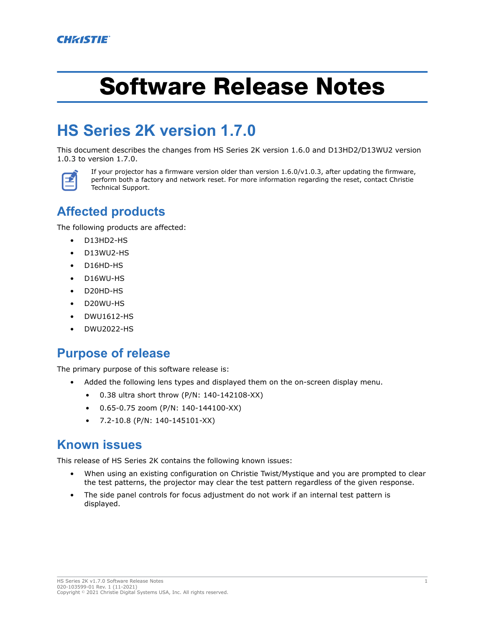# Software Release Notes

# **HS Series 2K version 1.7.0**

This document describes the changes from HS Series 2K version 1.6.0 and D13HD2/D13WU2 version 1.0.3 to version 1.7.0.



If your projector has a firmware version older than version 1.6.0/v1.0.3, after updating the firmware, perform both a factory and network reset. For more information regarding the reset, contact Christie Technical Support.

### **Affected products**

The following products are affected:

- D13HD2-HS
- D13WU2-HS
- D16HD-HS
- D16WU-HS
- D20HD-HS
- D20WU-HS
- DWU1612-HS
- DWU2022-HS

#### **Purpose of release**

The primary purpose of this software release is:

- Added the following lens types and displayed them on the on-screen display menu.
	- 0.38 ultra short throw (P/N: 140-142108-XX)
	- 0.65-0.75 zoom (P/N: 140-144100-XX)
	- 7.2-10.8 (P/N: 140-145101-XX)

#### **Known issues**

This release of HS Series 2K contains the following known issues:

- When using an existing configuration on Christie Twist/Mystique and you are prompted to clear the test patterns, the projector may clear the test pattern regardless of the given response.
- The side panel controls for focus adjustment do not work if an internal test pattern is displayed.